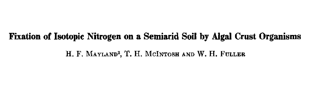# **Fixation of Isotopic Nitrogen on a Semiarid Soil by Algal Crust Organisms**

## H. F. MAYLAND2, T. H. MCINTOSH AND W. H. FULLER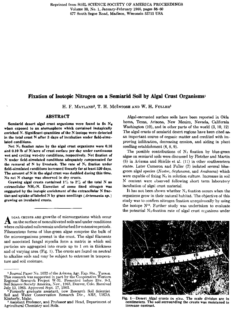# **Fixation of Isotopic Nitrogen on a Semiarid Soil by Algal Crust Organismsi**

H. F. MAYLAND2, T. **H. MCINTOSH** AND W. H. FULLERS

# **ABSTRACT**

**Semiarid desert algal crust organisms were found to fix**  $N<sub>1</sub>$ when exposed to an atomosphere which contained isotopically enriched N. Significant quantities of the N isotope were detected in the total crust N after 3 days **of incubation under field-simulated conditions.**

Net N2 fixation rates by **the algal crust organisms were 0.16 and 0.10 lb of N/acre of** crust surface per day under continuous wet and cycling wet-dry conditions, respectively. Net fixation of N under field-simulated conditions **adequately compensated for** the removal of  $N$  by livestock. The rate of  $N_2$  fixation under field-simulated conditions increased linearly for at least 520 days. The amount of N in the algal crust was **doubled during this time. No** net N change was observed in dry **crusts.**

**Growing algal** crusts contained 1% to 2% of the total N as extracellular NH<sub>4</sub>-N. Excretion of some fixed nitrogen was suggested by the isotopic enrichment of the extracellular N **fraction and uptake of** labeled N by **grass** seedlings **(Artenraesin** *sp.)* **growing on** incubated crusts.

A LGAL CRUSTS ARE GIUW LIIS OF INICIOOR SAME IN SOCIAL CRUSTS ARE GIUW LIIS OF INICIOOR SAME IN SOCIAL COMPLETED SOFTING THE CONDUCT SUPPORT OF THE COMPLETED SOFTING THE COMPLETED SOFTING THE COMPLETED SOFTING THE COMPLETE LGAL CRUSTS ARE growths of microorganisms which occur on the surface of noncultivated soils and under conditions Filamentous forms of blue-green algae comprise the bulk of the microorganisms present in the crust. The algal filaments and associated fungal mycelia form a matrix in which soil particles are aggregated into crusts up to 1 cm in thickness and of varying area (Fig. 1). The crusts are found on neutral to alkaline soils and may be subject to extremes in temperature and soil moisture.

Algal-encrusted surface soils have been reported in Okla homa, Texas, Arizona, New Mexico, Nevada, California Washington (10), and in other parts of the world (3, 10, 12) The algal crusts of semiarid desert regions have been cited as, an important source of organic matter and credited with improving infiltration, decreasing erosion, and aiding in plant seedling establishment (4, 8, 9).

The possible contributions of  $N_2$  fixation by blue-green algae on semiarid soils were discussed by Fletcher and Martin (8) in Arizona and Shields et al. (11) in other southwestern states. Later Cameron and Fuller (7) isolated several bluegreen algal species (Nostoc, Scytonema, and Anabaena) which were capable of fixing  $N_2$  in solution culture. Increases in soil N content were observed following short term laboratory incubation of algal crust material.

It has not been shown whether  $N_2$  fixation occurs when the organisms grow in their natural habitat. The objective of this study was to confirm nitrogen fixation unequivocally by using the isotope  $N^{16}$ . Further study was undertaken to evaluate the potential  $N_z$ -fixation rate of algal crust organisms under



Fig. 1—Desert Algal crusts **in** *situ.* **The scale** division are in centimeters. The **soil** surrounding the crusts was moistened to increase contrast.

Journal Paper No. 1022 of the Arizona Agr. Exp. Sta., Tucson. This research was supported in part by the Cooperative Western Regional Research Project W-31. Presented before Div. S-3, Soil Science Society America, Nov., 1963, Denver, Colo. Received July 12, 1965. Approved Sept. 17, 1965.

Formerly graduate assistant, now Research Soil Scientist Soil and Water Conservation Research Div., ARS, USDA Kimberly, Idaho.

<sup>&</sup>lt;sup>3</sup> Assistant Professor, and Professor and Head, Department of Agricultural Chemistry and Soils.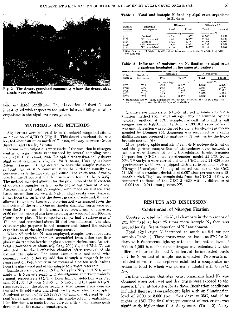

**Fig. 2 The desert grassland community where the desert algal** crusts **were** collected.

field simulated conditions. The disposition of fixed N was investigated with respect to the potential availability to other organisms in the algal crust ecosystem.

## **MATERIALS AND METHODS**

Algal crusts were collected from a semiarid rangeland site at an elevation of  $3,700$  ft (Fig. 2). This desert grassland site was located about 30 miles north of Tucson, midway between Oracle Junction and Oracle, Arizona.

Extensive investigations were made of the variation in nitrogen content of algal crusts as influenced by several sampling techniques (II. F. Mayland, 1965. Isotopic nitrogen fixation by desert algal crust organisms. *Unpubl. Ph.D. thesis, Univ. of Jrizona Library, Tueson*). It was desired to have the sample variation in total algal crust N comparable to the variation usually experienced with the Kjeldahl procedure. The coefficient of variation for the N content of field crusts were found to be  $>$  33 $\%$ . The method adopted allowed for the prediction of the N content of duplicate samples with a coefficient of variation of  $\leq 4\%$ . Measurements of total N content were made on surface area basis, rather than on weight. Native algal crusts were removed intact from the surface of the desert grassland soils and, if moist, allowed to air dry. Excessive adhering soil was scraped front the underside of the crust. One-centimeter diameter cores were cut from the 3- to 4-mm thick crust. A composite sample consisted of 60 random cores placed face up on a glass wool pad in a 100-mm plastic petri plate. The composite sample had a surface area of  $47.1 \text{ cm}^2$  and contained about 20 g of crust material. The algal crust samples prepared in this manner maintained the natural organization of the algal crust components.

When  $N^{15}$ -enriched  $N_2$  was employed, samples were incubated **in** gas-tight growth chambers assembled from either one liter glass resin reaction kettles or glass vacuum desiccators. An artificial atmosphere of about  $5\%$  CO<sub>2</sub>, 20<sup> $\gamma$ </sup><sub>c</sub> O<sub>2</sub>, and 75 $\%$  N<sub>2</sub> was admitted into the incubation chamber after removal of the natural atmosphere. The crust sample was moistened with deionized water either by addition through a stopcock in the resin reaction kettle cover or by means of a cotton wick leading from the glass wool pad of the sample to a water reservoir.

Qualitative spot tests for NH<sub>4</sub>, NO<sub>2</sub> plus NO<sub>3</sub>, and NO<sub>2</sub> were made with Nessler's reagent, diphenylamine and Trommsdorf's reagent, respectively (1). The lower limit of detection was 0.25 ppm  $NH_4-N$ , 1.0 ppm  $NO_2-N$  or  $NO_3-N$ , and 0.1 ppm  $NO_2-N$ , respectively, for the above reagents. Free amino acids were extracted with cold water and identified by paper chromatography. A solvent system of 3:12:5 (v/v/v) of glacial acetic acid/n-butanol/water was used and ninhydrin employed for visualization. Identification was made by comparison with known amino acids developed on the same chromatogram.

**Table 1—Total and isotopic N fixed by algal crust organisms in 21 days**

| Culture | Nitrogen<br>Atmosphere     | Nitrozen       |              | Nitrogen-15 |        |
|---------|----------------------------|----------------|--------------|-------------|--------|
| number  |                            | Final          | Fixed        | Total       | Excess |
|         |                            | — atom %<br>mg |              |             |        |
| 0102    | Control                    | 42.4           | <b>B.419</b> | 0.368       | A. ADO |
| 0105    | N <sup>15</sup> -enriched  | 41.6           | $7.6**$      | 0.753       | 0.383  |
| 0107    | Control                    | 37.1           | $3.1*$       | 0.358       | 0.000  |
| 0109    | -N <sup>15</sup> -enriched | 39.6           | 5.6**        | 0.752       | 0.384  |
| 0112    | N <sup>15</sup> -enriched  | 41.6           | $7.6***$     | 0.710       | 0.342  |

**s** 1, **mg**

Table **2 —Influence** of moisture on N2 fixation **by algal crust organisms incubated in** *the* **same atmosphere**

| Culture<br>number | Moisture<br>treatment | Nitrogen |                                                                                                     | Nitrogen-15 |                              |
|-------------------|-----------------------|----------|-----------------------------------------------------------------------------------------------------|-------------|------------------------------|
|                   |                       | Final    | Fixed*                                                                                              | Total       | Excess                       |
|                   |                       |          | trug —                                                                                              |             | ∙atom %∙                     |
| 0701              | Wet                   | 42.1     | $5.6***$                                                                                            | 0.662       | 0.295                        |
| 0703              | Drv                   | 39.4     | $3.1*$                                                                                              | 0.367       | 0.000                        |
| 0705              | Wel.                  | 44.2     | $7.9**$                                                                                             | 0.684       | 0.317                        |
| 0707              | Dтy                   | 33.0     | 1.7                                                                                                 | 0.379       | 0.012                        |
| 0709              | Wet                   | 44.4     | 8.1**                                                                                               | 0.679       | 0.312                        |
|                   |                       |          | di Classificació con de ligible alguntinos con considerante de la consideración de la fila Nicol de |             | <b>Contract in the State</b> |

**F** Significant and **\*\*** highly significant net increase over initial N of 36. 3 mg with  $\kappa = 1.29$  mg. t Wet for final 4 days of incubation,

Quantitative analysis of  $NH<sub>4</sub>-N$  utilized a 4-min steam distillation method (6). Total nitrogen was determined by the Kjeldahl method. A 1:3:1 sample/acid/salt ratio and a salt composition of  $K_2SO_4/CuSO_4/Se$  in a 100:10:1 ratio  $(w/w/w)$ was used. Digestion was continued for 6 hr after clearing as recommended by Bremner (5). Ammonia. was recovered by alkaline distillation and prepared for analysis of N isotopes by the hypobromite method {6).

Mass spectrographic analysis of sample N isotope distribution and the gaseous composition of atmospheres over incubating samples were determined on a Consolidated Electrodynamics Corporation (CEO) mass spectrometer model 21-130. Some N"/N" analyses were carried out. on a CEO model 21 -620 mass spectrometer which was equipped with a ratio readout system. Nitrogen-15 analyses of biological control samples on the CEO 21-130 had a standard deviation of 0.007 atom percent over a 15 month period. Duplicate sample data from the CEC 21-130 were compared to those of the CEO 21-620 with a difference of  $-0.004$  to  $+0.011$  atom percent  $N<sup>15</sup>$ .

# **RESULTS AND DISCUSSION**

## **Confirmation of Nitrogen Fixation**

Crusts incubated in individual chambers in the presence of  $2\%$  N<sup>15</sup> fixed at least 25 times more isotopic N<sub>2</sub> then was needed for significant detection of  $N^{15}$  enrichment.

Total algal crust N increased as much as 8.4 mg per sample (Table 1). These crusts were incubated at 27C for 21 days with fluorescent lighting with an illumination level of 600 to 1,000 ft-c. The fixed nitrogen was calculated as the difference between the final N content of the incubated crusts and the N content of samples not incubated. Two crusts incubated in control atmospheres exhibited a comparable increase in total N which was normally labeled with  $0.368\%$ N<sup>15</sup> .

Further evidence that algal crust organisms fixed  $N_2$  was obtained when both wet and dry crusts were exposed to the same artificial atmosphere for 47 days. incubation conditions included fluorescent-incandescent light with an illumination level of 2,000 to 3,000 ft-c., 12-hr days at 35C, and 12-hr nights at 180. The final nitrogen content of wet crusts was significantly higher than that of dry crusts (Table 2). A dry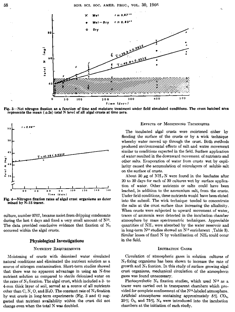

**Fig. 3—Net nitrogen fixation as a function of time and moisture treatment under field simulated conditions. The cross hatched area represents the mean (±2s) total N** *level* **of all algal crusts at time zero.**



**Fig. 4—Nitrogen fixation rates of algal crust organisms as deter mined by N-15 tracer.**

culture, number 0707, became moist from dripping condensate during the last 4 days and fixed a very small amount of  $N^{15}$ . The data provided conclusive evidence that fixation of  $N_2$ **occurred within the algal crusts.**

#### **Physiological Investigations**

#### **NUTRIENT REQUIREMENTS**

**Moistening of crusts** with deionized water simulated natural conditions and eliminated the nutrient solution as a source of nitrogen contamination. Short-term studies showed that there was no apparent advantage in using an N-free nutrient solution as compared to sterile deionized water on the rates of  $N_2$  fixation. The algal crust, which included a  $3-$  to 4-mm thick layer of soil, served as a source of all nutrients other than C, N, O, and  $H_2O$ . The constant rate of  $N_2$  fixation by wet crusts in long-term experiments (Fig. 3 and 4) suggested that nutrient availability within the crust did not change even when the total N **was** doubled.

#### **ErrEcTs OF MOISTENINO TECHNIQUES**

**The incubated algal crusts were moistened either by flooding the surface of the crusts or** by a wick technique whereby water moved up through the crust. Both methods produced environmental effects of salt and water movement similar to conditions expected in the field. Surface application of water resulted in the downward movement of nutrients and other salts. Evaporation of water from crusts wet by capillarity caused the accumulation of microlayers of soluble salt on the surface of crusts.

About 50  $\mu$ g of NH<sub>4</sub>-N were found in the leachates after 20 to 30 days for each of 30 cultures wet by surface application of water. Other nutrients or salts could have been leached, in addition to the ammonium salt, from the crusts. Under field conditions, these nutrients would have been eluted into the subsoil. The wick technique tended to concentrate the salts at the crust surface thus increasing the alkalinity. When crusts were subjected to upward movement of water, traces of ammonia were detected in the incubation chamber atmosphere by mass spectrometric techniques. Appreciable quantities of  $NH<sub>4</sub>$  were absorbed by the water reservoir and in long-term  $N^{15}$  studies showed an  $N^{15}$  enrichment , Table 3). Similar losses of fixed N by volatilization of NH<sub>3</sub> could occur **in the field.**

#### **INCUBATION GASES**

Circulation of atmospheric gases in solution cultures of  $N_2$ -fixing organisms has been shown to increase the rate of growth and  $N_2$  fixation. In this study of surface growing algal crust organisms, mechanical circulation of the atmospheric gases was found unnecessary.

Photosynthetic  $N_2$  fixation studies, which used  $N^{15}$  as a tracer were carried out in transparent chambers which provided for complete confinement of the N<sup>15</sup>-labeled atmosphere. Artificial atmospheres containing approximately  $5\%$  CO<sub>2</sub>,  $20\%$  O<sub>2</sub>, and  $75\%$  N<sub>2</sub> were introduced into the incubation chambers at the initiation of each study.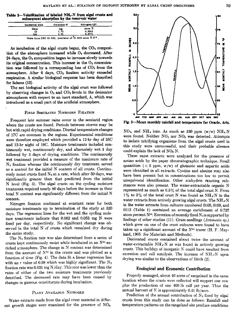1.5

**Table 3—Volatilization of labeled NH4 -N from algal crusts and subsequent absorption by the reservoir water**

| Incubation time | Ammonis-N                                                               | Nitrogen-15* |
|-----------------|-------------------------------------------------------------------------|--------------|
| Dava            | m£                                                                      | atom $\%$    |
| 12              | 1.75                                                                    | 0.3642       |
| 160             | 1. 71                                                                   | 0.3771       |
|                 | *Data from CEC 21-629, precision of $-0.0003$ atom $\%$ N <sup>14</sup> |              |

As incubation of the algal crusts began, the  $CO<sub>2</sub>$  composition of the atmosphere increased while  $O<sub>2</sub>$  decreased. After 24 days, the O<sub>2</sub> composition began to increase slowly towards its original concentration. This increase in the  $O_2$  concentration was followed by a corresponding loss of  $CO<sub>2</sub>$  from the atmosphere. After  $6$  days,  $CO<sub>2</sub>$  fixation activity exceeded respiration. A similar biological response has been described for lichens (13).

The net biological activity of the algal crust was followed by observing changes in  $O_2$  and  $CO_2$  levels in the desiccator atmospheres with respect to an inert standard, A, which was introduced as a small part of the artificial **atmosphere.**

#### **FIELD SIMULATED NITROGEN FIXATION**

Frequent late summer rains occur in the semiarid region where the crusts are found. Periods between storms may be hot with rapid drying conditions. Diurnal temperature changes of 17C are common in the regions. Experimental conditions were therefore employed which provided *a* 12-hr day of 35C and 12-hr night of 180. Moisture treatments included continuously wet, continuously dry, and alternately wet 1 day followed by 3 days of drying conditions, The continuously wet treatment provided a measure of the maximum rate of  $N<sub>2</sub>$  fixation whereas the continuously dry treatment served as a control for the initial N content of all crusts. Continuously moist crusts fixed  $N_2$  at a rate, which after 50 days, was significantly greater than that predicted from the initial N level (Fig. 3). The algal crusts on the cycling moisture treatment required nearly 80 days before the increase in their total N content was significantly different from the initial N content.

Nitrogen fixation continued at constant rates for both moisture treatments up to termination of the study at 520 days. The regression lines for the wet and the cycling moisture treatments indicate that 0.082 and 0.053 mg N were fixed per day, respectively. No significant change was observed in the total N of crusts which remained dry during the entire study.

The  $N_2$  fixation rate was also determined from a series of crusts kept continuously moist while incubated in an N13 enriched atmosphere. The change in N content was determined from the amount of  $N^{15}$  in the crusts and was plotted as a function of time (Fig. 4). The data fit a linear regression line with an r value of 0.98 which was highly significant. The  $N_2$ fixation rate was 0.031 mg N/day, This rate was lower than the rates of either of the two moisture treatments previously described. The decreased rate may have been caused by changes in gaseous constituents during incubation.

## PLANT AVAILABLE NITROGEN

Water extracts made from the algal crust material in different growth stages were examined for the presence of NO<sub>3</sub>,



Fig. 5—Mean monthly rainfall and temperature for Oracle, Ariz.

 $NO<sub>2</sub>$ , and  $NH<sub>4</sub>$  ions. As much as 150 ppm (w/w)  $NH<sub>4</sub>$ -N were found. Neither  $NO<sub>2</sub>$  nor  $NO<sub>3</sub>$  was detected. Attempts to isolate nitrifying organisms from the algal crusts used in this study were unsuccessful, and their probable absence could explain the lack of NOs-N.

These same extracts were analyzed for the presence of amino acids by the paper chromatographic technique. Small quantities  $(< 5$  ppm,  $w/w$  of glutamic and aspartic acids were identified in all extracts. Cystine and alanine may also have been present but in concentrations too low to permit unequivocal identification. Other ninhydrin reacting substances were also present. The water-extractable organic N represented as much *as* 0.5% of the total algal crust N. From  $1\%$  to  $2\%$  of the total crust N was found as NH<sub>4</sub>-N in the water extracts from actively growing algal crusts. The  $NH_{4}N$ in the water extracts from cultures numbered 0105, 0109, and 0112 (Table 1) contained an average enrichment of 0.737 atom percent  $N^{15}$ . Excretion of recently fixed  $N_3$  is supported by findings of other studies (11). Grass seedlings *(Artemesia* sp.) which grew on one of the crust cultures were found to have taken up a significant amount of the  $N<sup>15</sup>$  tracer (H. F. Mayland, 1965. *See* Materials and Methods).

Desiccated crusts contained about twice the amount of water-extractable NH 4-N as was found in actively growing crusts. This buildup of inorganic *N* could have resulted from excretion and cell autolysis. The increase of NH ,-N upon drying was similar to the observations of Birch (2).

### Ecological and Economic Contribution

Properly managed, about 40 acres of rangeland in the same location where the crusts were collected will support one cow plus the production of one 400-lb calf per year. Thus the annual harvest of  $N$  is approximately 0.41 lb/acre.

Prediction of the annual contribution of  $N_2$  fixed by algal crusts from this study can be done as follows: Rainfall and temperature patterns on the rangeland site produce conditions